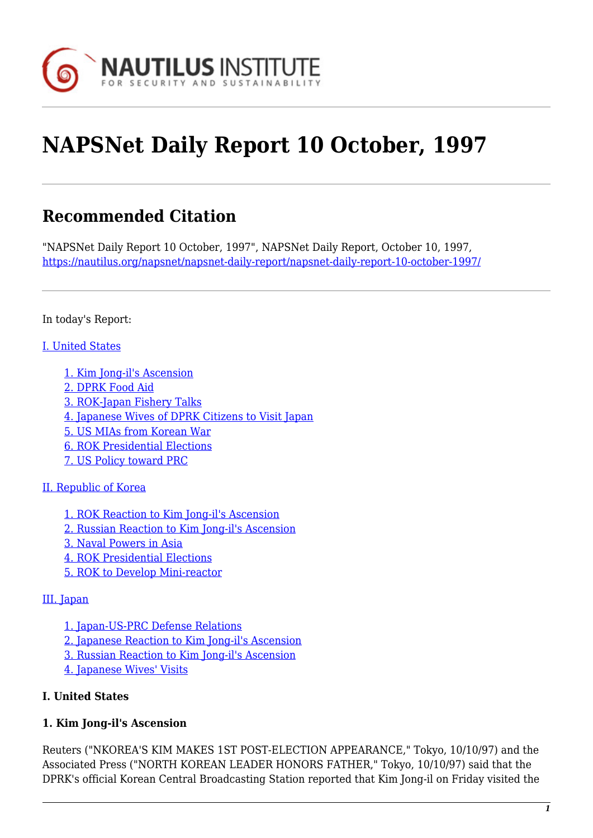

# **NAPSNet Daily Report 10 October, 1997**

# **Recommended Citation**

"NAPSNet Daily Report 10 October, 1997", NAPSNet Daily Report, October 10, 1997, <https://nautilus.org/napsnet/napsnet-daily-report/napsnet-daily-report-10-october-1997/>

In today's Report:

#### [I. United States](#page-3-0)

- [1. Kim Jong-il's Ascension](#page-3-1)
- [2. DPRK Food Aid](#page-4-0)
- [3. ROK-Japan Fishery Talks](#page-5-0)
- [4. Japanese Wives of DPRK Citizens to Visit Japan](#page-5-1)
- [5. US MIAs from Korean War](#page-5-2)
- [6. ROK Presidential Elections](#page-5-3)
- [7. US Policy toward PRC](#page-5-4)

#### [II. Republic of Korea](#page-6-0)

- [1. ROK Reaction to Kim Jong-il's Ascension](#page-6-1)
- [2. Russian Reaction to Kim Jong-il's Ascension](#page-6-2)
- [3. Naval Powers in Asia](#page-6-3)
- [4. ROK Presidential Elections](#page-7-0)
- [5. ROK to Develop Mini-reactor](#page-7-1)

#### [III. Japan](#page-7-2)

- [1. Japan-US-PRC Defense Relations](#page-7-3) [2. Japanese Reaction to Kim Jong-il's Ascension](#page-7-4)
- [3. Russian Reaction to Kim Jong-il's Ascension](#page-8-0)
- [4. Japanese Wives' Visits](#page-8-1)

#### **I. United States**

# **1. Kim Jong-il's Ascension**

Reuters ("NKOREA'S KIM MAKES 1ST POST-ELECTION APPEARANCE," Tokyo, 10/10/97) and the Associated Press ("NORTH KOREAN LEADER HONORS FATHER," Tokyo, 10/10/97) said that the DPRK's official Korean Central Broadcasting Station reported that Kim Jong-il on Friday visited the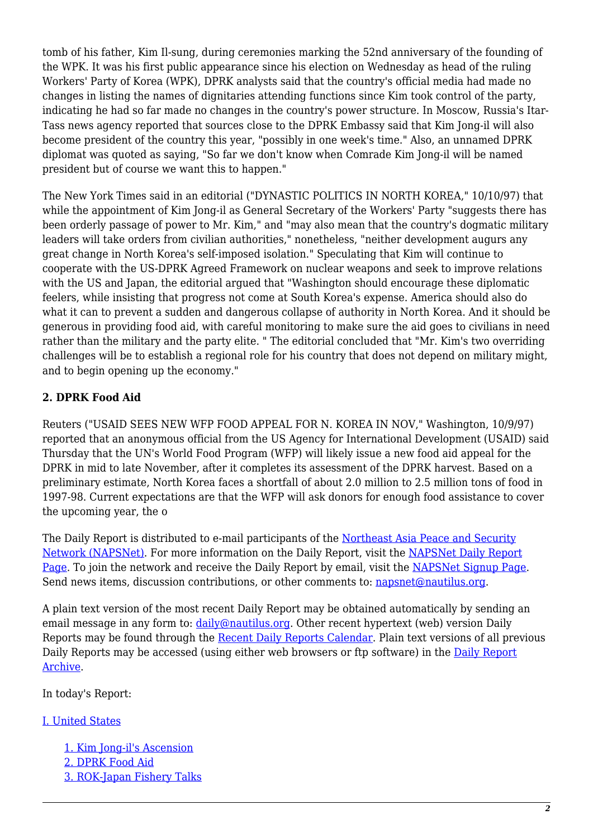tomb of his father, Kim Il-sung, during ceremonies marking the 52nd anniversary of the founding of the WPK. It was his first public appearance since his election on Wednesday as head of the ruling Workers' Party of Korea (WPK), DPRK analysts said that the country's official media had made no changes in listing the names of dignitaries attending functions since Kim took control of the party, indicating he had so far made no changes in the country's power structure. In Moscow, Russia's Itar-Tass news agency reported that sources close to the DPRK Embassy said that Kim Jong-il will also become president of the country this year, "possibly in one week's time." Also, an unnamed DPRK diplomat was quoted as saying, "So far we don't know when Comrade Kim Jong-il will be named president but of course we want this to happen."

The New York Times said in an editorial ("DYNASTIC POLITICS IN NORTH KOREA," 10/10/97) that while the appointment of Kim Jong-il as General Secretary of the Workers' Party "suggests there has been orderly passage of power to Mr. Kim," and "may also mean that the country's dogmatic military leaders will take orders from civilian authorities," nonetheless, "neither development augurs any great change in North Korea's self-imposed isolation." Speculating that Kim will continue to cooperate with the US-DPRK Agreed Framework on nuclear weapons and seek to improve relations with the US and Japan, the editorial argued that "Washington should encourage these diplomatic feelers, while insisting that progress not come at South Korea's expense. America should also do what it can to prevent a sudden and dangerous collapse of authority in North Korea. And it should be generous in providing food aid, with careful monitoring to make sure the aid goes to civilians in need rather than the military and the party elite. " The editorial concluded that "Mr. Kim's two overriding challenges will be to establish a regional role for his country that does not depend on military might, and to begin opening up the economy."

#### **2. DPRK Food Aid**

Reuters ("USAID SEES NEW WFP FOOD APPEAL FOR N. KOREA IN NOV," Washington, 10/9/97) reported that an anonymous official from the US Agency for International Development (USAID) said Thursday that the UN's World Food Program (WFP) will likely issue a new food aid appeal for the DPRK in mid to late November, after it completes its assessment of the DPRK harvest. Based on a preliminary estimate, North Korea faces a shortfall of about 2.0 million to 2.5 million tons of food in 1997-98. Current expectations are that the WFP will ask donors for enough food assistance to cover the upcoming year, the o

The Daily Report is distributed to e-mail participants of the [Northeast Asia Peace and Security](http://www.nautilus.org/napsnet/index.html) [Network \(NAPSNet\).](http://www.nautilus.org/napsnet/index.html) For more information on the Daily Report, visit the [NAPSNet Daily Report](http://www.nautilus.org/napsnet/dailyreport.html) [Page](http://www.nautilus.org/napsnet/dailyreport.html). To join the network and receive the Daily Report by email, visit the [NAPSNet Signup Page](http://www.nautilus.org/napsnet/signup.html). Send news items, discussion contributions, or other comments to: [napsnet@nautilus.org.](mailto:napsnet@nautilus.org (Daily Report Editor))

A plain text version of the most recent Daily Report may be obtained automatically by sending an email message in any form to: *[daily@nautilus.org](mailto:daily@nautilus.org)*. Other recent hypertext (web) version Daily Reports may be found through the [Recent Daily Reports Calendar](http://www.nautilus.org/napsnet/recent_daily_reports/). Plain text versions of all previous Daily Reports may be accessed (using either web browsers or ftp software) in the [Daily Report](ftp://ftp.nautilus.org/napsnet/daily_reports) [Archive.](ftp://ftp.nautilus.org/napsnet/daily_reports)

In today's Report:

#### [I. United States](#page-3-0)

[1. Kim Jong-il's Ascension](#page-3-1) [2. DPRK Food Aid](#page-4-0) [3. ROK-Japan Fishery Talks](#page-5-0)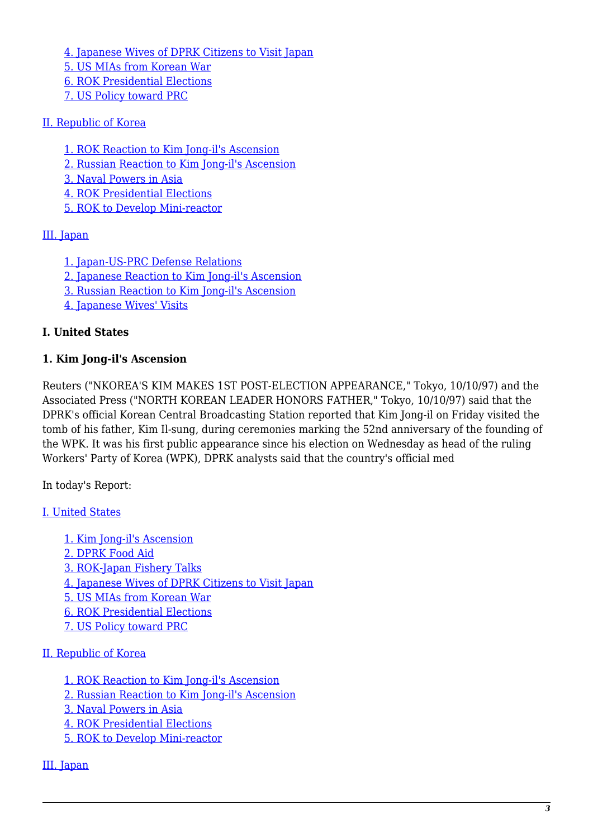[4. Japanese Wives of DPRK Citizens to Visit Japan](#page-5-1) [5. US MIAs from Korean War](#page-5-2) [6. ROK Presidential Elections](#page-5-3) [7. US Policy toward PRC](#page-5-4)

#### [II. Republic of Korea](#page-6-0)

- [1. ROK Reaction to Kim Jong-il's Ascension](#page-6-1)
- [2. Russian Reaction to Kim Jong-il's Ascension](#page-6-2)
- [3. Naval Powers in Asia](#page-6-3)
- [4. ROK Presidential Elections](#page-7-0)
- [5. ROK to Develop Mini-reactor](#page-7-1)

#### [III. Japan](#page-7-2)

- [1. Japan-US-PRC Defense Relations](#page-7-3)
- [2. Japanese Reaction to Kim Jong-il's Ascension](#page-7-4)
- [3. Russian Reaction to Kim Jong-il's Ascension](#page-8-0)
- [4. Japanese Wives' Visits](#page-8-1)

#### **I. United States**

#### **1. Kim Jong-il's Ascension**

Reuters ("NKOREA'S KIM MAKES 1ST POST-ELECTION APPEARANCE," Tokyo, 10/10/97) and the Associated Press ("NORTH KOREAN LEADER HONORS FATHER," Tokyo, 10/10/97) said that the DPRK's official Korean Central Broadcasting Station reported that Kim Jong-il on Friday visited the tomb of his father, Kim Il-sung, during ceremonies marking the 52nd anniversary of the founding of the WPK. It was his first public appearance since his election on Wednesday as head of the ruling Workers' Party of Korea (WPK), DPRK analysts said that the country's official med

In today's Report:

#### [I. United States](#page-3-0)

[1. Kim Jong-il's Ascension](#page-3-1) [2. DPRK Food Aid](#page-4-0) [3. ROK-Japan Fishery Talks](#page-5-0) [4. Japanese Wives of DPRK Citizens to Visit Japan](#page-5-1) [5. US MIAs from Korean War](#page-5-2) [6. ROK Presidential Elections](#page-5-3) [7. US Policy toward PRC](#page-5-4)

#### [II. Republic of Korea](#page-6-0)

[1. ROK Reaction to Kim Jong-il's Ascension](#page-6-1) [2. Russian Reaction to Kim Jong-il's Ascension](#page-6-2) [3. Naval Powers in Asia](#page-6-3) [4. ROK Presidential Elections](#page-7-0) [5. ROK to Develop Mini-reactor](#page-7-1)

#### [III. Japan](#page-7-2)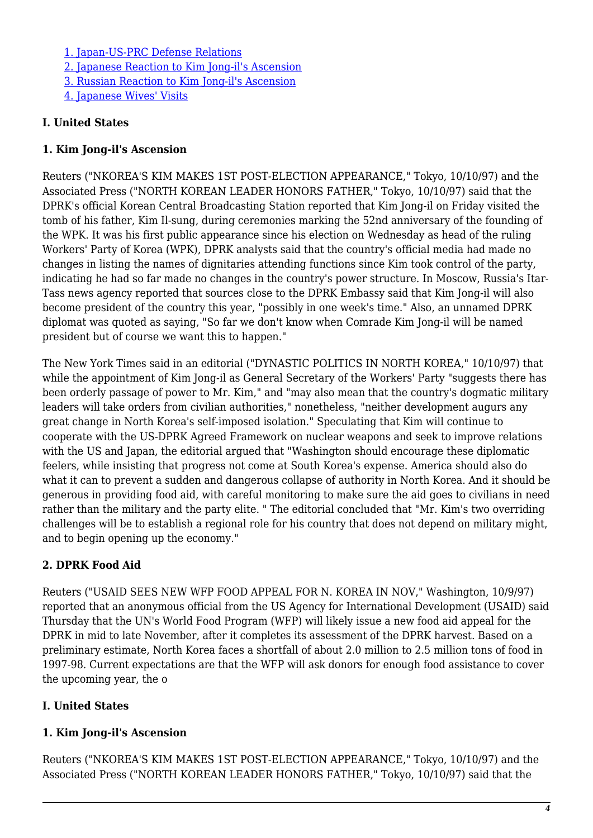[1. Japan-US-PRC Defense Relations](#page-7-3) [2. Japanese Reaction to Kim Jong-il's Ascension](#page-7-4) [3. Russian Reaction to Kim Jong-il's Ascension](#page-8-0) [4. Japanese Wives' Visits](#page-8-1)

#### **I. United States**

#### **1. Kim Jong-il's Ascension**

Reuters ("NKOREA'S KIM MAKES 1ST POST-ELECTION APPEARANCE," Tokyo, 10/10/97) and the Associated Press ("NORTH KOREAN LEADER HONORS FATHER," Tokyo, 10/10/97) said that the DPRK's official Korean Central Broadcasting Station reported that Kim Jong-il on Friday visited the tomb of his father, Kim Il-sung, during ceremonies marking the 52nd anniversary of the founding of the WPK. It was his first public appearance since his election on Wednesday as head of the ruling Workers' Party of Korea (WPK), DPRK analysts said that the country's official media had made no changes in listing the names of dignitaries attending functions since Kim took control of the party, indicating he had so far made no changes in the country's power structure. In Moscow, Russia's Itar-Tass news agency reported that sources close to the DPRK Embassy said that Kim Jong-il will also become president of the country this year, "possibly in one week's time." Also, an unnamed DPRK diplomat was quoted as saying, "So far we don't know when Comrade Kim Jong-il will be named president but of course we want this to happen."

The New York Times said in an editorial ("DYNASTIC POLITICS IN NORTH KOREA," 10/10/97) that while the appointment of Kim Jong-il as General Secretary of the Workers' Party "suggests there has been orderly passage of power to Mr. Kim," and "may also mean that the country's dogmatic military leaders will take orders from civilian authorities," nonetheless, "neither development augurs any great change in North Korea's self-imposed isolation." Speculating that Kim will continue to cooperate with the US-DPRK Agreed Framework on nuclear weapons and seek to improve relations with the US and Japan, the editorial argued that "Washington should encourage these diplomatic feelers, while insisting that progress not come at South Korea's expense. America should also do what it can to prevent a sudden and dangerous collapse of authority in North Korea. And it should be generous in providing food aid, with careful monitoring to make sure the aid goes to civilians in need rather than the military and the party elite. " The editorial concluded that "Mr. Kim's two overriding challenges will be to establish a regional role for his country that does not depend on military might, and to begin opening up the economy."

# **2. DPRK Food Aid**

Reuters ("USAID SEES NEW WFP FOOD APPEAL FOR N. KOREA IN NOV," Washington, 10/9/97) reported that an anonymous official from the US Agency for International Development (USAID) said Thursday that the UN's World Food Program (WFP) will likely issue a new food aid appeal for the DPRK in mid to late November, after it completes its assessment of the DPRK harvest. Based on a preliminary estimate, North Korea faces a shortfall of about 2.0 million to 2.5 million tons of food in 1997-98. Current expectations are that the WFP will ask donors for enough food assistance to cover the upcoming year, the o

# <span id="page-3-0"></span>**I. United States**

#### <span id="page-3-1"></span>**1. Kim Jong-il's Ascension**

Reuters ("NKOREA'S KIM MAKES 1ST POST-ELECTION APPEARANCE," Tokyo, 10/10/97) and the Associated Press ("NORTH KOREAN LEADER HONORS FATHER," Tokyo, 10/10/97) said that the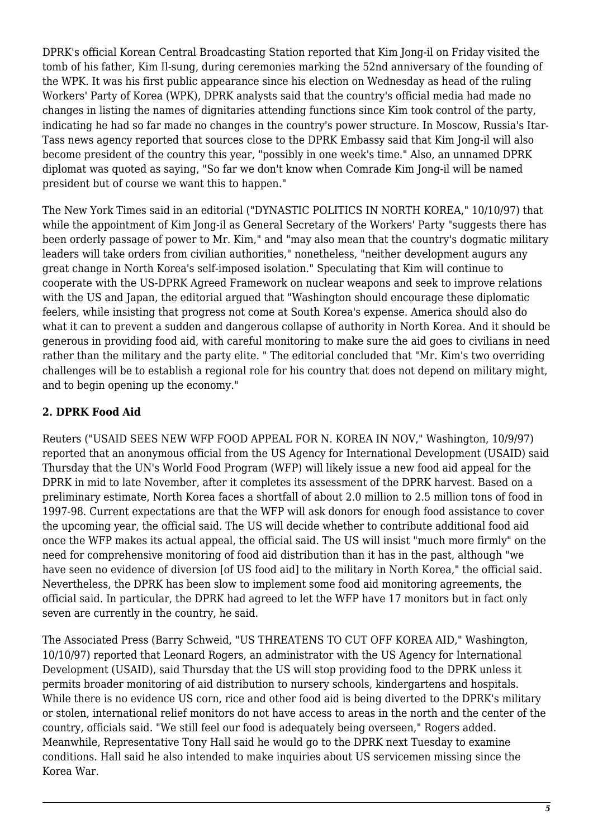DPRK's official Korean Central Broadcasting Station reported that Kim Jong-il on Friday visited the tomb of his father, Kim Il-sung, during ceremonies marking the 52nd anniversary of the founding of the WPK. It was his first public appearance since his election on Wednesday as head of the ruling Workers' Party of Korea (WPK), DPRK analysts said that the country's official media had made no changes in listing the names of dignitaries attending functions since Kim took control of the party, indicating he had so far made no changes in the country's power structure. In Moscow, Russia's Itar-Tass news agency reported that sources close to the DPRK Embassy said that Kim Jong-il will also become president of the country this year, "possibly in one week's time." Also, an unnamed DPRK diplomat was quoted as saying, "So far we don't know when Comrade Kim Jong-il will be named president but of course we want this to happen."

The New York Times said in an editorial ("DYNASTIC POLITICS IN NORTH KOREA," 10/10/97) that while the appointment of Kim Jong-il as General Secretary of the Workers' Party "suggests there has been orderly passage of power to Mr. Kim," and "may also mean that the country's dogmatic military leaders will take orders from civilian authorities," nonetheless, "neither development augurs any great change in North Korea's self-imposed isolation." Speculating that Kim will continue to cooperate with the US-DPRK Agreed Framework on nuclear weapons and seek to improve relations with the US and Japan, the editorial argued that "Washington should encourage these diplomatic feelers, while insisting that progress not come at South Korea's expense. America should also do what it can to prevent a sudden and dangerous collapse of authority in North Korea. And it should be generous in providing food aid, with careful monitoring to make sure the aid goes to civilians in need rather than the military and the party elite. " The editorial concluded that "Mr. Kim's two overriding challenges will be to establish a regional role for his country that does not depend on military might, and to begin opening up the economy."

# <span id="page-4-0"></span>**2. DPRK Food Aid**

Reuters ("USAID SEES NEW WFP FOOD APPEAL FOR N. KOREA IN NOV," Washington, 10/9/97) reported that an anonymous official from the US Agency for International Development (USAID) said Thursday that the UN's World Food Program (WFP) will likely issue a new food aid appeal for the DPRK in mid to late November, after it completes its assessment of the DPRK harvest. Based on a preliminary estimate, North Korea faces a shortfall of about 2.0 million to 2.5 million tons of food in 1997-98. Current expectations are that the WFP will ask donors for enough food assistance to cover the upcoming year, the official said. The US will decide whether to contribute additional food aid once the WFP makes its actual appeal, the official said. The US will insist "much more firmly" on the need for comprehensive monitoring of food aid distribution than it has in the past, although "we have seen no evidence of diversion [of US food aid] to the military in North Korea," the official said. Nevertheless, the DPRK has been slow to implement some food aid monitoring agreements, the official said. In particular, the DPRK had agreed to let the WFP have 17 monitors but in fact only seven are currently in the country, he said.

The Associated Press (Barry Schweid, "US THREATENS TO CUT OFF KOREA AID," Washington, 10/10/97) reported that Leonard Rogers, an administrator with the US Agency for International Development (USAID), said Thursday that the US will stop providing food to the DPRK unless it permits broader monitoring of aid distribution to nursery schools, kindergartens and hospitals. While there is no evidence US corn, rice and other food aid is being diverted to the DPRK's military or stolen, international relief monitors do not have access to areas in the north and the center of the country, officials said. "We still feel our food is adequately being overseen," Rogers added. Meanwhile, Representative Tony Hall said he would go to the DPRK next Tuesday to examine conditions. Hall said he also intended to make inquiries about US servicemen missing since the Korea War.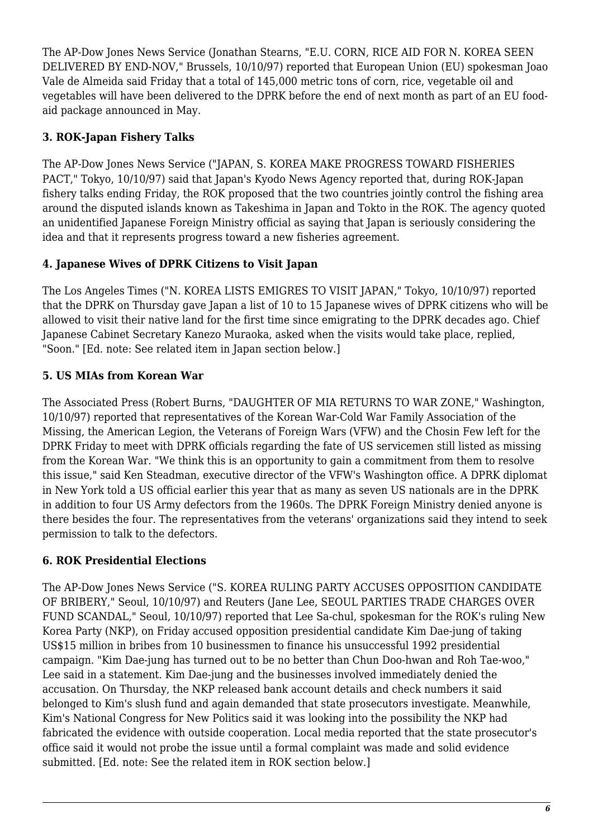The AP-Dow Jones News Service (Jonathan Stearns, "E.U. CORN, RICE AID FOR N. KOREA SEEN DELIVERED BY END-NOV," Brussels, 10/10/97) reported that European Union (EU) spokesman Joao Vale de Almeida said Friday that a total of 145,000 metric tons of corn, rice, vegetable oil and vegetables will have been delivered to the DPRK before the end of next month as part of an EU foodaid package announced in May.

# <span id="page-5-0"></span>**3. ROK-Japan Fishery Talks**

The AP-Dow Jones News Service ("JAPAN, S. KOREA MAKE PROGRESS TOWARD FISHERIES PACT," Tokyo, 10/10/97) said that Japan's Kyodo News Agency reported that, during ROK-Japan fishery talks ending Friday, the ROK proposed that the two countries jointly control the fishing area around the disputed islands known as Takeshima in Japan and Tokto in the ROK. The agency quoted an unidentified Japanese Foreign Ministry official as saying that Japan is seriously considering the idea and that it represents progress toward a new fisheries agreement.

# <span id="page-5-1"></span>**4. Japanese Wives of DPRK Citizens to Visit Japan**

The Los Angeles Times ("N. KOREA LISTS EMIGRES TO VISIT JAPAN," Tokyo, 10/10/97) reported that the DPRK on Thursday gave Japan a list of 10 to 15 Japanese wives of DPRK citizens who will be allowed to visit their native land for the first time since emigrating to the DPRK decades ago. Chief Japanese Cabinet Secretary Kanezo Muraoka, asked when the visits would take place, replied, "Soon." [Ed. note: See related item in Japan section below.]

# <span id="page-5-2"></span>**5. US MIAs from Korean War**

The Associated Press (Robert Burns, "DAUGHTER OF MIA RETURNS TO WAR ZONE," Washington, 10/10/97) reported that representatives of the Korean War-Cold War Family Association of the Missing, the American Legion, the Veterans of Foreign Wars (VFW) and the Chosin Few left for the DPRK Friday to meet with DPRK officials regarding the fate of US servicemen still listed as missing from the Korean War. "We think this is an opportunity to gain a commitment from them to resolve this issue," said Ken Steadman, executive director of the VFW's Washington office. A DPRK diplomat in New York told a US official earlier this year that as many as seven US nationals are in the DPRK in addition to four US Army defectors from the 1960s. The DPRK Foreign Ministry denied anyone is there besides the four. The representatives from the veterans' organizations said they intend to seek permission to talk to the defectors.

# <span id="page-5-3"></span>**6. ROK Presidential Elections**

<span id="page-5-4"></span>The AP-Dow Jones News Service ("S. KOREA RULING PARTY ACCUSES OPPOSITION CANDIDATE OF BRIBERY," Seoul, 10/10/97) and Reuters (Jane Lee, SEOUL PARTIES TRADE CHARGES OVER FUND SCANDAL," Seoul, 10/10/97) reported that Lee Sa-chul, spokesman for the ROK's ruling New Korea Party (NKP), on Friday accused opposition presidential candidate Kim Dae-jung of taking US\$15 million in bribes from 10 businessmen to finance his unsuccessful 1992 presidential campaign. "Kim Dae-jung has turned out to be no better than Chun Doo-hwan and Roh Tae-woo," Lee said in a statement. Kim Dae-jung and the businesses involved immediately denied the accusation. On Thursday, the NKP released bank account details and check numbers it said belonged to Kim's slush fund and again demanded that state prosecutors investigate. Meanwhile, Kim's National Congress for New Politics said it was looking into the possibility the NKP had fabricated the evidence with outside cooperation. Local media reported that the state prosecutor's office said it would not probe the issue until a formal complaint was made and solid evidence submitted. [Ed. note: See the related item in ROK section below.]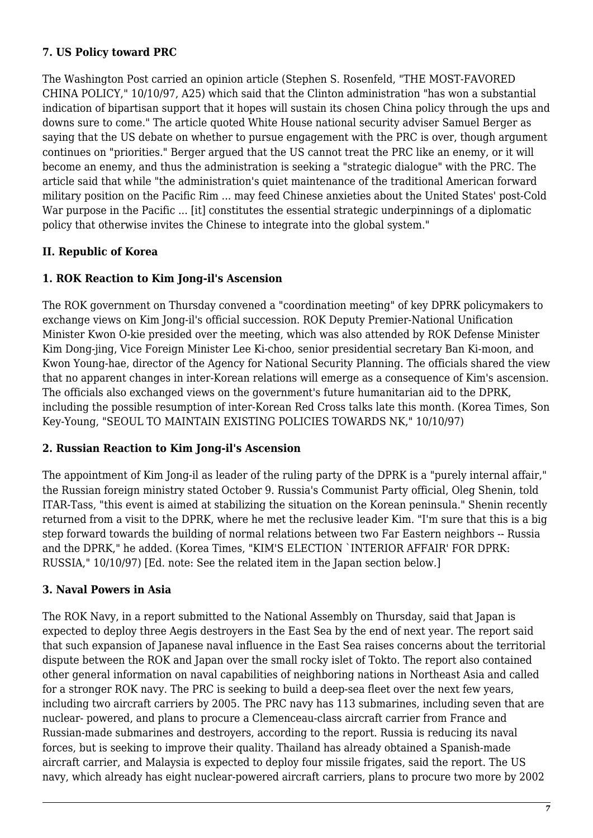#### **7. US Policy toward PRC**

The Washington Post carried an opinion article (Stephen S. Rosenfeld, "THE MOST-FAVORED CHINA POLICY," 10/10/97, A25) which said that the Clinton administration "has won a substantial indication of bipartisan support that it hopes will sustain its chosen China policy through the ups and downs sure to come." The article quoted White House national security adviser Samuel Berger as saying that the US debate on whether to pursue engagement with the PRC is over, though argument continues on "priorities." Berger argued that the US cannot treat the PRC like an enemy, or it will become an enemy, and thus the administration is seeking a "strategic dialogue" with the PRC. The article said that while "the administration's quiet maintenance of the traditional American forward military position on the Pacific Rim ... may feed Chinese anxieties about the United States' post-Cold War purpose in the Pacific ... [it] constitutes the essential strategic underpinnings of a diplomatic policy that otherwise invites the Chinese to integrate into the global system."

#### <span id="page-6-0"></span>**II. Republic of Korea**

#### <span id="page-6-1"></span>**1. ROK Reaction to Kim Jong-il's Ascension**

The ROK government on Thursday convened a "coordination meeting" of key DPRK policymakers to exchange views on Kim Jong-il's official succession. ROK Deputy Premier-National Unification Minister Kwon O-kie presided over the meeting, which was also attended by ROK Defense Minister Kim Dong-jing, Vice Foreign Minister Lee Ki-choo, senior presidential secretary Ban Ki-moon, and Kwon Young-hae, director of the Agency for National Security Planning. The officials shared the view that no apparent changes in inter-Korean relations will emerge as a consequence of Kim's ascension. The officials also exchanged views on the government's future humanitarian aid to the DPRK, including the possible resumption of inter-Korean Red Cross talks late this month. (Korea Times, Son Key-Young, "SEOUL TO MAINTAIN EXISTING POLICIES TOWARDS NK," 10/10/97)

#### <span id="page-6-2"></span>**2. Russian Reaction to Kim Jong-il's Ascension**

The appointment of Kim Jong-il as leader of the ruling party of the DPRK is a "purely internal affair," the Russian foreign ministry stated October 9. Russia's Communist Party official, Oleg Shenin, told ITAR-Tass, "this event is aimed at stabilizing the situation on the Korean peninsula." Shenin recently returned from a visit to the DPRK, where he met the reclusive leader Kim. "I'm sure that this is a big step forward towards the building of normal relations between two Far Eastern neighbors -- Russia and the DPRK," he added. (Korea Times, "KIM'S ELECTION `INTERIOR AFFAIR' FOR DPRK: RUSSIA," 10/10/97) [Ed. note: See the related item in the Japan section below.]

#### <span id="page-6-3"></span>**3. Naval Powers in Asia**

The ROK Navy, in a report submitted to the National Assembly on Thursday, said that Japan is expected to deploy three Aegis destroyers in the East Sea by the end of next year. The report said that such expansion of Japanese naval influence in the East Sea raises concerns about the territorial dispute between the ROK and Japan over the small rocky islet of Tokto. The report also contained other general information on naval capabilities of neighboring nations in Northeast Asia and called for a stronger ROK navy. The PRC is seeking to build a deep-sea fleet over the next few years, including two aircraft carriers by 2005. The PRC navy has 113 submarines, including seven that are nuclear- powered, and plans to procure a Clemenceau-class aircraft carrier from France and Russian-made submarines and destroyers, according to the report. Russia is reducing its naval forces, but is seeking to improve their quality. Thailand has already obtained a Spanish-made aircraft carrier, and Malaysia is expected to deploy four missile frigates, said the report. The US navy, which already has eight nuclear-powered aircraft carriers, plans to procure two more by 2002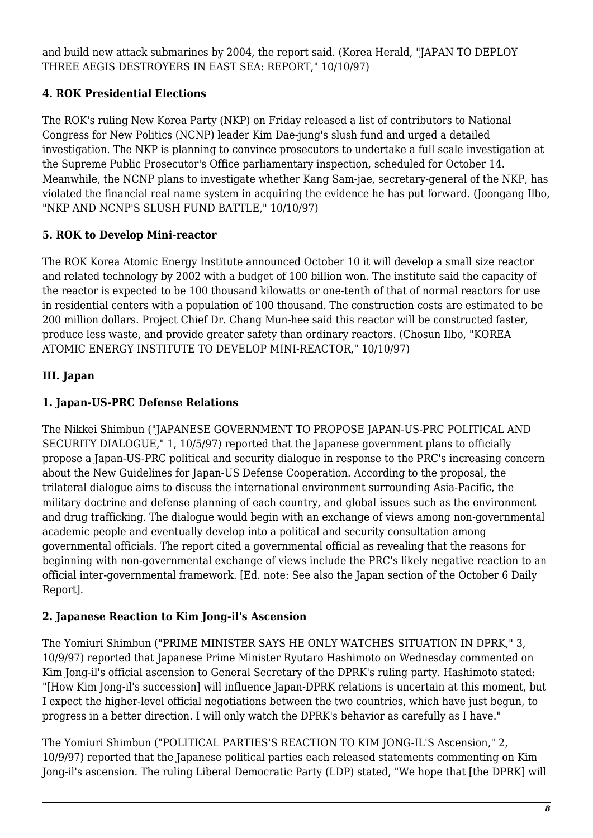and build new attack submarines by 2004, the report said. (Korea Herald, "JAPAN TO DEPLOY THREE AEGIS DESTROYERS IN EAST SEA: REPORT," 10/10/97)

# <span id="page-7-0"></span>**4. ROK Presidential Elections**

The ROK's ruling New Korea Party (NKP) on Friday released a list of contributors to National Congress for New Politics (NCNP) leader Kim Dae-jung's slush fund and urged a detailed investigation. The NKP is planning to convince prosecutors to undertake a full scale investigation at the Supreme Public Prosecutor's Office parliamentary inspection, scheduled for October 14. Meanwhile, the NCNP plans to investigate whether Kang Sam-jae, secretary-general of the NKP, has violated the financial real name system in acquiring the evidence he has put forward. (Joongang Ilbo, "NKP AND NCNP'S SLUSH FUND BATTLE," 10/10/97)

# <span id="page-7-1"></span>**5. ROK to Develop Mini-reactor**

The ROK Korea Atomic Energy Institute announced October 10 it will develop a small size reactor and related technology by 2002 with a budget of 100 billion won. The institute said the capacity of the reactor is expected to be 100 thousand kilowatts or one-tenth of that of normal reactors for use in residential centers with a population of 100 thousand. The construction costs are estimated to be 200 million dollars. Project Chief Dr. Chang Mun-hee said this reactor will be constructed faster, produce less waste, and provide greater safety than ordinary reactors. (Chosun Ilbo, "KOREA ATOMIC ENERGY INSTITUTE TO DEVELOP MINI-REACTOR," 10/10/97)

# <span id="page-7-2"></span>**III. Japan**

# <span id="page-7-3"></span>**1. Japan-US-PRC Defense Relations**

The Nikkei Shimbun ("JAPANESE GOVERNMENT TO PROPOSE JAPAN-US-PRC POLITICAL AND SECURITY DIALOGUE," 1, 10/5/97) reported that the Japanese government plans to officially propose a Japan-US-PRC political and security dialogue in response to the PRC's increasing concern about the New Guidelines for Japan-US Defense Cooperation. According to the proposal, the trilateral dialogue aims to discuss the international environment surrounding Asia-Pacific, the military doctrine and defense planning of each country, and global issues such as the environment and drug trafficking. The dialogue would begin with an exchange of views among non-governmental academic people and eventually develop into a political and security consultation among governmental officials. The report cited a governmental official as revealing that the reasons for beginning with non-governmental exchange of views include the PRC's likely negative reaction to an official inter-governmental framework. [Ed. note: See also the Japan section of the October 6 Daily Report].

# <span id="page-7-4"></span>**2. Japanese Reaction to Kim Jong-il's Ascension**

The Yomiuri Shimbun ("PRIME MINISTER SAYS HE ONLY WATCHES SITUATION IN DPRK," 3, 10/9/97) reported that Japanese Prime Minister Ryutaro Hashimoto on Wednesday commented on Kim Jong-il's official ascension to General Secretary of the DPRK's ruling party. Hashimoto stated: "[How Kim Jong-il's succession] will influence Japan-DPRK relations is uncertain at this moment, but I expect the higher-level official negotiations between the two countries, which have just begun, to progress in a better direction. I will only watch the DPRK's behavior as carefully as I have."

The Yomiuri Shimbun ("POLITICAL PARTIES'S REACTION TO KIM JONG-IL'S Ascension," 2, 10/9/97) reported that the Japanese political parties each released statements commenting on Kim Jong-il's ascension. The ruling Liberal Democratic Party (LDP) stated, "We hope that [the DPRK] will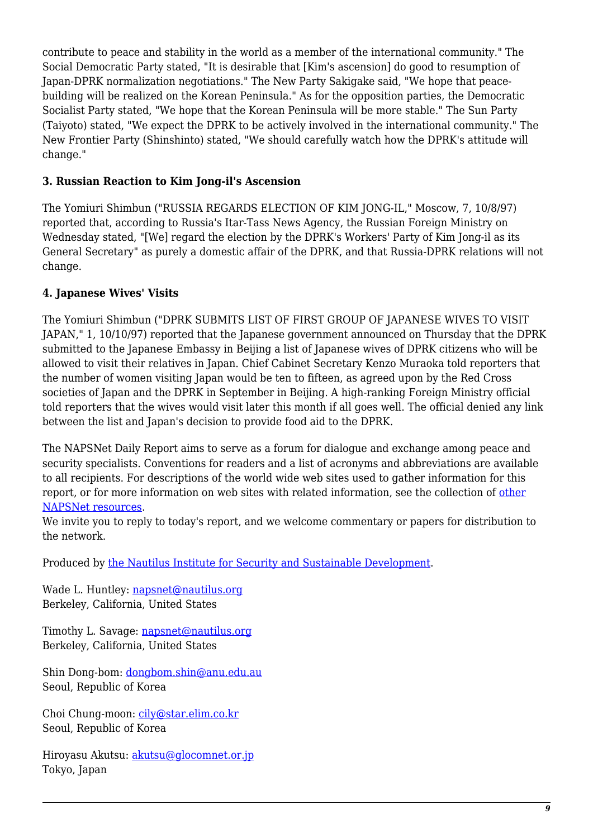contribute to peace and stability in the world as a member of the international community." The Social Democratic Party stated, "It is desirable that [Kim's ascension] do good to resumption of Japan-DPRK normalization negotiations." The New Party Sakigake said, "We hope that peacebuilding will be realized on the Korean Peninsula." As for the opposition parties, the Democratic Socialist Party stated, "We hope that the Korean Peninsula will be more stable." The Sun Party (Taiyoto) stated, "We expect the DPRK to be actively involved in the international community." The New Frontier Party (Shinshinto) stated, "We should carefully watch how the DPRK's attitude will change."

#### <span id="page-8-0"></span>**3. Russian Reaction to Kim Jong-il's Ascension**

The Yomiuri Shimbun ("RUSSIA REGARDS ELECTION OF KIM JONG-IL," Moscow, 7, 10/8/97) reported that, according to Russia's Itar-Tass News Agency, the Russian Foreign Ministry on Wednesday stated, "[We] regard the election by the DPRK's Workers' Party of Kim Jong-il as its General Secretary" as purely a domestic affair of the DPRK, and that Russia-DPRK relations will not change.

#### <span id="page-8-1"></span>**4. Japanese Wives' Visits**

The Yomiuri Shimbun ("DPRK SUBMITS LIST OF FIRST GROUP OF JAPANESE WIVES TO VISIT JAPAN," 1, 10/10/97) reported that the Japanese government announced on Thursday that the DPRK submitted to the Japanese Embassy in Beijing a list of Japanese wives of DPRK citizens who will be allowed to visit their relatives in Japan. Chief Cabinet Secretary Kenzo Muraoka told reporters that the number of women visiting Japan would be ten to fifteen, as agreed upon by the Red Cross societies of Japan and the DPRK in September in Beijing. A high-ranking Foreign Ministry official told reporters that the wives would visit later this month if all goes well. The official denied any link between the list and Japan's decision to provide food aid to the DPRK.

The NAPSNet Daily Report aims to serve as a forum for dialogue and exchange among peace and security specialists. Conventions for readers and a list of acronyms and abbreviations are available to all recipients. For descriptions of the world wide web sites used to gather information for this report, or for more information on web sites with related information, see the collection of [other](http://www.nautilus.org/napsnet/resources.html) [NAPSNet resources.](http://www.nautilus.org/napsnet/resources.html)

We invite you to reply to today's report, and we welcome commentary or papers for distribution to the network.

Produced by [the Nautilus Institute for Security and Sustainable Development](http://www.nautilus.org/morenaut.html).

Wade L. Huntley: [napsnet@nautilus.org](mailto:napsnet@nautilus.org) Berkeley, California, United States

Timothy L. Savage: [napsnet@nautilus.org](mailto:napsnet@nautilus.org) Berkeley, California, United States

Shin Dong-bom: [dongbom.shin@anu.edu.au](mailto:dongbom.shin@anu.edu.au) Seoul, Republic of Korea

Choi Chung-moon: [cily@star.elim.co.kr](mailto:cily@star.elim.co.kr) Seoul, Republic of Korea

Hiroyasu Akutsu: [akutsu@glocomnet.or.jp](mailto:akutsu@glocomnet.or.jp) Tokyo, Japan